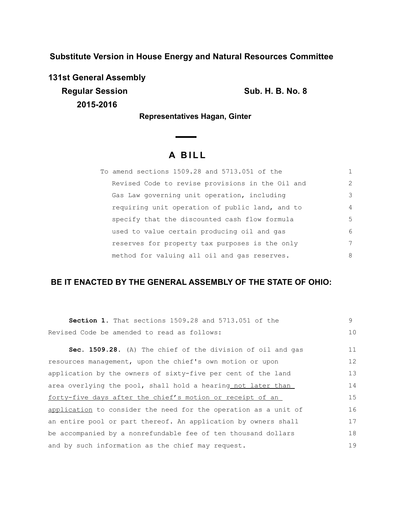**Substitute Version in House Energy and Natural Resources Committee**

**131st General Assembly Regular Session Sub. H. B. No. 8 2015-2016**

**Representatives Hagan, Ginter** 

# **A B I L L**

| To amend sections 1509.28 and 5713.051 of the    |               |
|--------------------------------------------------|---------------|
| Revised Code to revise provisions in the Oil and | $\mathcal{L}$ |
| Gas Law governing unit operation, including      | 3             |
| requiring unit operation of public land, and to  | 4             |
| specify that the discounted cash flow formula    | .5            |
| used to value certain producing oil and gas      | 6             |
| reserves for property tax purposes is the only   | 7             |
| method for valuing all oil and gas reserves.     | 8             |

# **BE IT ENACTED BY THE GENERAL ASSEMBLY OF THE STATE OF OHIO:**

| <b>Section 1.</b> That sections 1509.28 and 5713.051 of the     | 9  |
|-----------------------------------------------------------------|----|
| Revised Code be amended to read as follows:                     | 10 |
| Sec. 1509.28. (A) The chief of the division of oil and gas      | 11 |
| resources management, upon the chief's own motion or upon       | 12 |
| application by the owners of sixty-five per cent of the land    | 13 |
| area overlying the pool, shall hold a hearing not later than    | 14 |
| forty-five days after the chief's motion or receipt of an       | 15 |
| application to consider the need for the operation as a unit of | 16 |
| an entire pool or part thereof. An application by owners shall  | 17 |
| be accompanied by a nonrefundable fee of ten thousand dollars   | 18 |
| and by such information as the chief may request.               | 19 |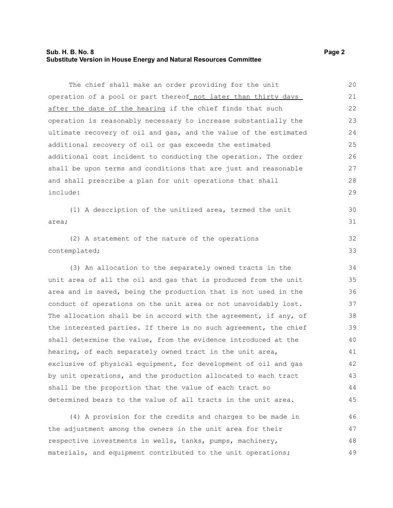# **Sub. H. B. No. 8 Page 2 Substitute Version in House Energy and Natural Resources Committee**

The chief shall make an order providing for the unit operation of a pool or part thereof not later than thirty days after the date of the hearing if the chief finds that such operation is reasonably necessary to increase substantially the ultimate recovery of oil and gas, and the value of the estimated additional recovery of oil or gas exceeds the estimated additional cost incident to conducting the operation. The order shall be upon terms and conditions that are just and reasonable and shall prescribe a plan for unit operations that shall include: 20 21 22 23 24 25 26 27 28 29

(1) A description of the unitized area, termed the unit area; 30 31

(2) A statement of the nature of the operations contemplated; 32 33

(3) An allocation to the separately owned tracts in the unit area of all the oil and gas that is produced from the unit area and is saved, being the production that is not used in the conduct of operations on the unit area or not unavoidably lost. The allocation shall be in accord with the agreement, if any, of the interested parties. If there is no such agreement, the chief shall determine the value, from the evidence introduced at the hearing, of each separately owned tract in the unit area, exclusive of physical equipment, for development of oil and gas by unit operations, and the production allocated to each tract shall be the proportion that the value of each tract so determined bears to the value of all tracts in the unit area.

(4) A provision for the credits and charges to be made in the adjustment among the owners in the unit area for their respective investments in wells, tanks, pumps, machinery, materials, and equipment contributed to the unit operations; 46 47 48 49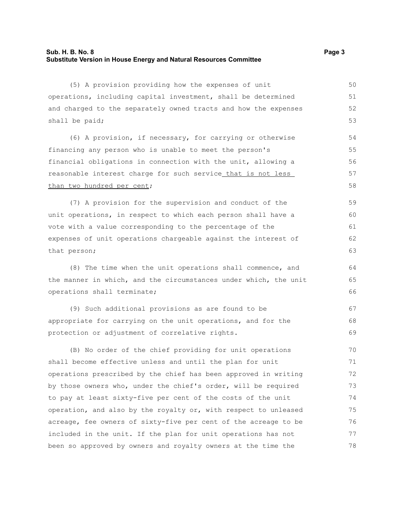## **Sub. H. B. No. 8 Page 3 Substitute Version in House Energy and Natural Resources Committee**

(5) A provision providing how the expenses of unit operations, including capital investment, shall be determined and charged to the separately owned tracts and how the expenses shall be paid;

(6) A provision, if necessary, for carrying or otherwise financing any person who is unable to meet the person's financial obligations in connection with the unit, allowing a reasonable interest charge for such service that is not less than two hundred per cent;

(7) A provision for the supervision and conduct of the unit operations, in respect to which each person shall have a vote with a value corresponding to the percentage of the expenses of unit operations chargeable against the interest of that person; 59 60 61 62 63

(8) The time when the unit operations shall commence, and the manner in which, and the circumstances under which, the unit operations shall terminate;

(9) Such additional provisions as are found to be appropriate for carrying on the unit operations, and for the protection or adjustment of correlative rights. 67 68 69

(B) No order of the chief providing for unit operations shall become effective unless and until the plan for unit operations prescribed by the chief has been approved in writing by those owners who, under the chief's order, will be required to pay at least sixty-five per cent of the costs of the unit operation, and also by the royalty or, with respect to unleased acreage, fee owners of sixty-five per cent of the acreage to be included in the unit. If the plan for unit operations has not been so approved by owners and royalty owners at the time the 70 71 72 73 74 75 76 77 78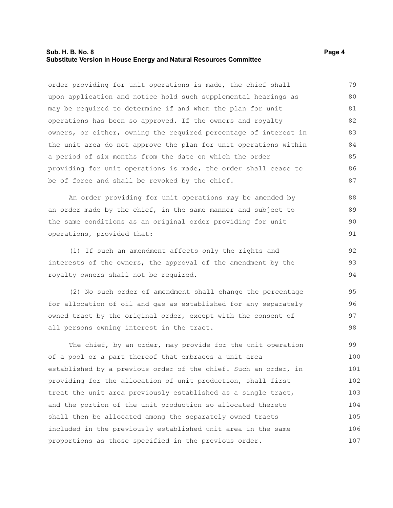#### **Sub. H. B. No. 8 Page 4 Substitute Version in House Energy and Natural Resources Committee**

order providing for unit operations is made, the chief shall upon application and notice hold such supplemental hearings as may be required to determine if and when the plan for unit operations has been so approved. If the owners and royalty owners, or either, owning the required percentage of interest in the unit area do not approve the plan for unit operations within a period of six months from the date on which the order providing for unit operations is made, the order shall cease to be of force and shall be revoked by the chief. 79 80 81 82 83 84 85 86 87

An order providing for unit operations may be amended by an order made by the chief, in the same manner and subject to the same conditions as an original order providing for unit operations, provided that: 88 89 90 91

(1) If such an amendment affects only the rights and interests of the owners, the approval of the amendment by the royalty owners shall not be required. 92 93 94

(2) No such order of amendment shall change the percentage for allocation of oil and gas as established for any separately owned tract by the original order, except with the consent of all persons owning interest in the tract. 95 96 97 98

The chief, by an order, may provide for the unit operation of a pool or a part thereof that embraces a unit area established by a previous order of the chief. Such an order, in providing for the allocation of unit production, shall first treat the unit area previously established as a single tract, and the portion of the unit production so allocated thereto shall then be allocated among the separately owned tracts included in the previously established unit area in the same proportions as those specified in the previous order. 99 100 101 102 103 104 105 106 107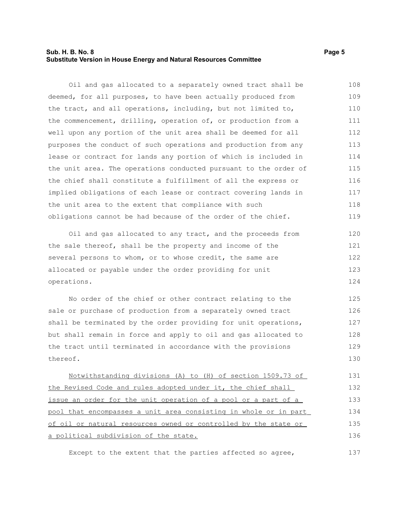# **Sub. H. B. No. 8 Page 5 Substitute Version in House Energy and Natural Resources Committee**

Oil and gas allocated to a separately owned tract shall be deemed, for all purposes, to have been actually produced from the tract, and all operations, including, but not limited to, the commencement, drilling, operation of, or production from a well upon any portion of the unit area shall be deemed for all purposes the conduct of such operations and production from any lease or contract for lands any portion of which is included in the unit area. The operations conducted pursuant to the order of the chief shall constitute a fulfillment of all the express or implied obligations of each lease or contract covering lands in the unit area to the extent that compliance with such obligations cannot be had because of the order of the chief. 108 109 110 111 112 113 114 115 116 117 118 119

Oil and gas allocated to any tract, and the proceeds from the sale thereof, shall be the property and income of the several persons to whom, or to whose credit, the same are allocated or payable under the order providing for unit operations. 120 121 122 123 124

No order of the chief or other contract relating to the sale or purchase of production from a separately owned tract shall be terminated by the order providing for unit operations, but shall remain in force and apply to oil and gas allocated to the tract until terminated in accordance with the provisions thereof. 125 126 127 128 129 130

Notwithstanding divisions (A) to (H) of section 1509.73 of the Revised Code and rules adopted under it, the chief shall issue an order for the unit operation of a pool or a part of a pool that encompasses a unit area consisting in whole or in part of oil or natural resources owned or controlled by the state or a political subdivision of the state. 131 132 133 134 135 136

Except to the extent that the parties affected so agree,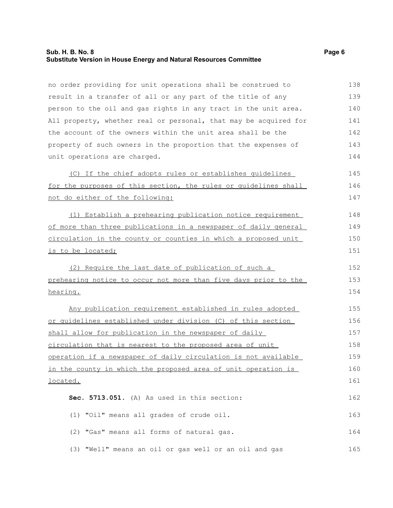## **Sub. H. B. No. 8 Page 6 Substitute Version in House Energy and Natural Resources Committee**

no order providing for unit operations shall be construed to result in a transfer of all or any part of the title of any person to the oil and gas rights in any tract in the unit area. All property, whether real or personal, that may be acquired for the account of the owners within the unit area shall be the property of such owners in the proportion that the expenses of unit operations are charged. (C) If the chief adopts rules or establishes guidelines for the purposes of this section, the rules or guidelines shall not do either of the following: (1) Establish a prehearing publication notice requirement of more than three publications in a newspaper of daily general circulation in the county or counties in which a proposed unit is to be located; (2) Require the last date of publication of such a prehearing notice to occur not more than five days prior to the hearing. Any publication requirement established in rules adopted or guidelines established under division (C) of this section shall allow for publication in the newspaper of daily circulation that is nearest to the proposed area of unit operation if a newspaper of daily circulation is not available in the county in which the proposed area of unit operation is located. **Sec. 5713.051.** (A) As used in this section: (1) "Oil" means all grades of crude oil. (2) "Gas" means all forms of natural gas. (3) "Well" means an oil or gas well or an oil and gas 138 139 140 141 142 143 144 145 146 147 148 149 150 151 152 153 154 155 156 157 158 159 160 161 162 163 164 165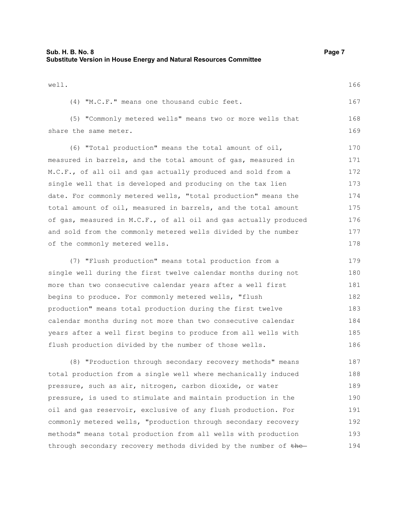| Sub. H. B. No. 8                                                   | Page 7 |
|--------------------------------------------------------------------|--------|
| Substitute Version in House Energy and Natural Resources Committee |        |

| well. |                                                           | 166 |
|-------|-----------------------------------------------------------|-----|
|       | $(4)$ "M.C.F." means one thousand cubic feet.             | 167 |
|       | (5) "Commonly metered wells" means two or more wells that | 168 |

169

share the same meter.

(6) "Total production" means the total amount of oil, measured in barrels, and the total amount of gas, measured in M.C.F., of all oil and gas actually produced and sold from a single well that is developed and producing on the tax lien date. For commonly metered wells, "total production" means the total amount of oil, measured in barrels, and the total amount of gas, measured in M.C.F., of all oil and gas actually produced and sold from the commonly metered wells divided by the number of the commonly metered wells. 170 171 172 173 174 175 176 177 178

(7) "Flush production" means total production from a single well during the first twelve calendar months during not more than two consecutive calendar years after a well first begins to produce. For commonly metered wells, "flush production" means total production during the first twelve calendar months during not more than two consecutive calendar years after a well first begins to produce from all wells with flush production divided by the number of those wells. 179 180 181 182 183 184 185 186

(8) "Production through secondary recovery methods" means total production from a single well where mechanically induced pressure, such as air, nitrogen, carbon dioxide, or water pressure, is used to stimulate and maintain production in the oil and gas reservoir, exclusive of any flush production. For commonly metered wells, "production through secondary recovery methods" means total production from all wells with production through secondary recovery methods divided by the number of the-187 188 189 190 191 192 193 194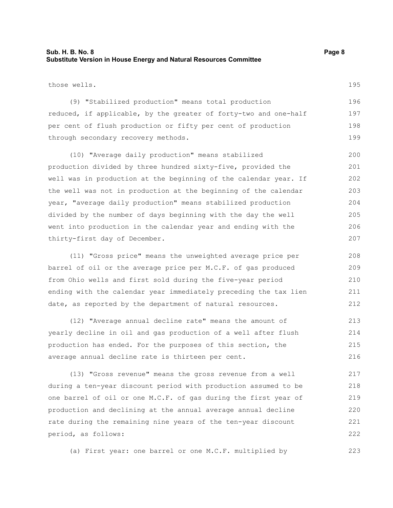# **Sub. H. B. No. 8 Page 8 Substitute Version in House Energy and Natural Resources Committee**

those wells.

195

| (9) "Stabilized production" means total production               | 196 |  |  |  |  |  |  |
|------------------------------------------------------------------|-----|--|--|--|--|--|--|
| reduced, if applicable, by the greater of forty-two and one-half | 197 |  |  |  |  |  |  |
| per cent of flush production or fifty per cent of production     | 198 |  |  |  |  |  |  |
| through secondary recovery methods.                              |     |  |  |  |  |  |  |

(10) "Average daily production" means stabilized production divided by three hundred sixty-five, provided the well was in production at the beginning of the calendar year. If the well was not in production at the beginning of the calendar year, "average daily production" means stabilized production divided by the number of days beginning with the day the well went into production in the calendar year and ending with the thirty-first day of December. 200 201 202 203 204 205 206 207

(11) "Gross price" means the unweighted average price per barrel of oil or the average price per M.C.F. of gas produced from Ohio wells and first sold during the five-year period ending with the calendar year immediately preceding the tax lien date, as reported by the department of natural resources. 208 209 210 211 212

(12) "Average annual decline rate" means the amount of yearly decline in oil and gas production of a well after flush production has ended. For the purposes of this section, the average annual decline rate is thirteen per cent. 213 214 215 216

(13) "Gross revenue" means the gross revenue from a well during a ten-year discount period with production assumed to be one barrel of oil or one M.C.F. of gas during the first year of production and declining at the annual average annual decline rate during the remaining nine years of the ten-year discount period, as follows: 217 218 219 220 221 222

(a) First year: one barrel or one M.C.F. multiplied by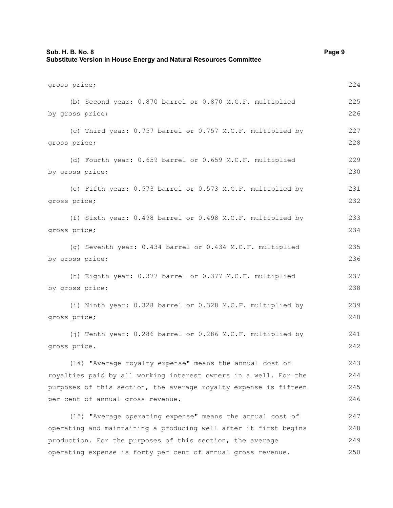| Sub. H. B. No. 8<br>Substitute Version in House Energy and Natural Resources Committee | Page 9 |
|----------------------------------------------------------------------------------------|--------|
| gross price;                                                                           | 224    |
| (b) Second year: 0.870 barrel or 0.870 M.C.F. multiplied                               | 225    |
| by gross price;                                                                        | 226    |
| (c) Third year: 0.757 barrel or 0.757 M.C.F. multiplied by                             | 227    |
| gross price;                                                                           | 228    |
| (d) Fourth year: 0.659 barrel or 0.659 M.C.F. multiplied                               | 229    |
| by gross price;                                                                        | 230    |
| (e) Fifth year: 0.573 barrel or 0.573 M.C.F. multiplied by                             | 231    |
| gross price;                                                                           | 232    |
| (f) Sixth year: 0.498 barrel or 0.498 M.C.F. multiplied by                             | 233    |
| gross price;                                                                           | 234    |
| (g) Seventh year: 0.434 barrel or 0.434 M.C.F. multiplied                              | 235    |
| by gross price;                                                                        | 236    |
| (h) Eighth year: 0.377 barrel or 0.377 M.C.F. multiplied                               | 237    |
| by gross price;                                                                        | 238    |
| (i) Ninth year: 0.328 barrel or 0.328 M.C.F. multiplied by                             | 239    |
| gross price;                                                                           | 240    |
| (j) Tenth year: 0.286 barrel or 0.286 M.C.F. multiplied by                             | 241    |
| gross price.                                                                           | 242    |
| (14) "Average royalty expense" means the annual cost of                                | 243    |
| royalties paid by all working interest owners in a well. For the                       | 244    |
| purposes of this section, the average royalty expense is fifteen                       | 245    |
| per cent of annual gross revenue.                                                      | 246    |
| (15) "Average operating expense" means the annual cost of                              | 247    |
| operating and maintaining a producing well after it first begins                       | 248    |
| production. For the purposes of this section, the average                              | 249    |
| operating expense is forty per cent of annual gross revenue.                           | 250    |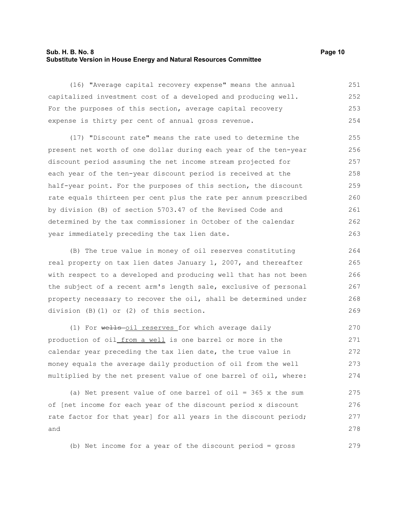#### **Sub. H. B. No. 8 Page 10 Substitute Version in House Energy and Natural Resources Committee**

(16) "Average capital recovery expense" means the annual capitalized investment cost of a developed and producing well. For the purposes of this section, average capital recovery expense is thirty per cent of annual gross revenue. 251 252 253 254

(17) "Discount rate" means the rate used to determine the present net worth of one dollar during each year of the ten-year discount period assuming the net income stream projected for each year of the ten-year discount period is received at the half-year point. For the purposes of this section, the discount rate equals thirteen per cent plus the rate per annum prescribed by division (B) of section 5703.47 of the Revised Code and determined by the tax commissioner in October of the calendar year immediately preceding the tax lien date. 255 256 257 258 259 260 261 262 263

(B) The true value in money of oil reserves constituting real property on tax lien dates January 1, 2007, and thereafter with respect to a developed and producing well that has not been the subject of a recent arm's length sale, exclusive of personal property necessary to recover the oil, shall be determined under division (B)(1) or (2) of this section. 264 265 266 267 268 269

(1) For wells-oil reserves for which average daily production of oil from a well is one barrel or more in the calendar year preceding the tax lien date, the true value in money equals the average daily production of oil from the well multiplied by the net present value of one barrel of oil, where: 270 271 272 273 274

(a) Net present value of one barrel of  $oil = 365$  x the sum of [net income for each year of the discount period x discount rate factor for that year] for all years in the discount period; and 275 276 277 278

(b) Net income for a year of the discount period = gross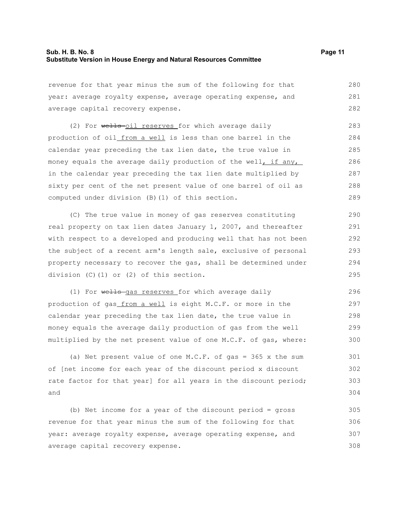revenue for that year minus the sum of the following for that year: average royalty expense, average operating expense, and average capital recovery expense. 280 281 282

(2) For wells-oil reserves for which average daily production of oil from a well is less than one barrel in the calendar year preceding the tax lien date, the true value in money equals the average daily production of the well, if any, in the calendar year preceding the tax lien date multiplied by sixty per cent of the net present value of one barrel of oil as computed under division (B)(1) of this section. 283 284 285 286 287 288 289

(C) The true value in money of gas reserves constituting real property on tax lien dates January 1, 2007, and thereafter with respect to a developed and producing well that has not been the subject of a recent arm's length sale, exclusive of personal property necessary to recover the gas, shall be determined under division (C)(1) or (2) of this section. 290 291 292 293 294 295

(1) For wells gas reserves for which average daily production of gas from a well is eight M.C.F. or more in the calendar year preceding the tax lien date, the true value in money equals the average daily production of gas from the well multiplied by the net present value of one M.C.F. of gas, where: 296 297 298 299 300

(a) Net present value of one M.C.F. of gas = 365 x the sum of [net income for each year of the discount period x discount rate factor for that year] for all years in the discount period; and 301 302 303 304

(b) Net income for a year of the discount period = gross revenue for that year minus the sum of the following for that year: average royalty expense, average operating expense, and average capital recovery expense. 305 306 307 308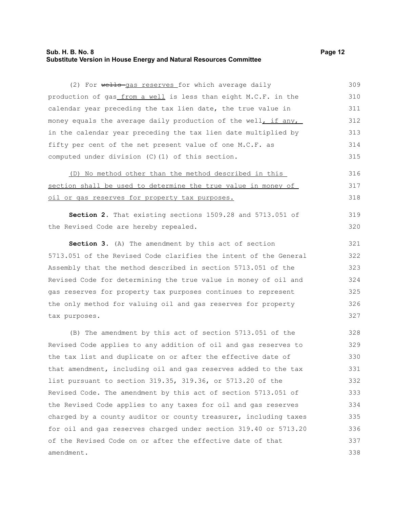## **Sub. H. B. No. 8 Page 12 Substitute Version in House Energy and Natural Resources Committee**

(2) For wells gas reserves for which average daily

production of gas\_from a well is less than eight M.C.F. in the calendar year preceding the tax lien date, the true value in money equals the average daily production of the well, if any, in the calendar year preceding the tax lien date multiplied by fifty per cent of the net present value of one M.C.F. as computed under division (C)(1) of this section. (D) No method other than the method described in this section shall be used to determine the true value in money of oil or gas reserves for property tax purposes. **Section 2.** That existing sections 1509.28 and 5713.051 of the Revised Code are hereby repealed. **Section 3.** (A) The amendment by this act of section 5713.051 of the Revised Code clarifies the intent of the General Assembly that the method described in section 5713.051 of the Revised Code for determining the true value in money of oil and 310 311 312 313 314 315 316 317 318 319 320 321 322 323 324

gas reserves for property tax purposes continues to represent the only method for valuing oil and gas reserves for property tax purposes. 325 326 327

(B) The amendment by this act of section 5713.051 of the Revised Code applies to any addition of oil and gas reserves to the tax list and duplicate on or after the effective date of that amendment, including oil and gas reserves added to the tax list pursuant to section 319.35, 319.36, or 5713.20 of the Revised Code. The amendment by this act of section 5713.051 of the Revised Code applies to any taxes for oil and gas reserves charged by a county auditor or county treasurer, including taxes for oil and gas reserves charged under section 319.40 or 5713.20 of the Revised Code on or after the effective date of that amendment. 328 329 330 331 332 333 334 335 336 337 338